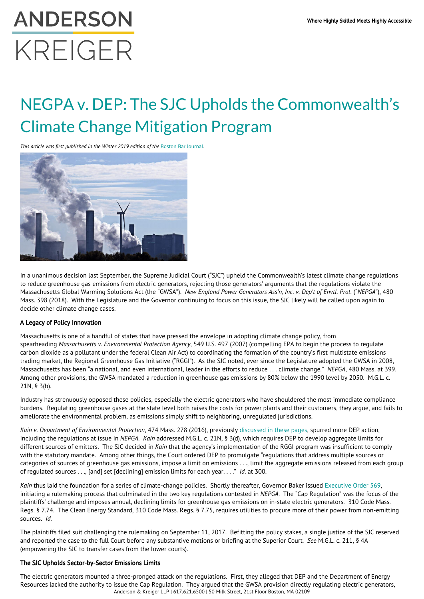# **ANDERSON** KREIGER

## NEGPA v. DEP: The SJC Upholds the Commonwealth's Climate Change Mitigation Program

*This article was first published in the Winter 2019 edition of the [Boston Bar Journal](https://bostonbarjournal.com/2019/03/18/negpa-v-dep-the-sjc-upholds-the-commonwealths-climate-change-mitigation-program/)* 



In a unanimous decision last September, the Supreme Judicial Court ("SJC") upheld the Commonwealth's latest climate change regulations to reduce greenhouse gas emissions from electric generators, rejecting those generators' arguments that the regulations violate the Massachusetts Global Warming Solutions Act (the "GWSA"). *New England Power Generators Ass'n, Inc. v. Dep't of Envtl. Prot.* ("*NEPGA*"), 480 Mass. 398 (2018). With the Legislature and the Governor continuing to focus on this issue, the SJC likely will be called upon again to decide other climate change cases.

#### A Legacy of Policy Innovation

Massachusetts is one of a handful of states that have pressed the envelope in adopting climate change policy, from spearheading *Massachusetts v. Environmental Protection Agency*, 549 U.S. 497 (2007) (compelling EPA to begin the process to regulate carbon dioxide as a pollutant under the federal Clean Air Act) to coordinating the formation of the country's first multistate emissions trading market, the Regional Greenhouse Gas Initiative ("RGGI"). As the SJC noted, ever since the Legislature adopted the GWSA in 2008, Massachusetts has been "a national, and even international, leader in the efforts to reduce . . . climate change." *NEPGA*, 480 Mass. at 399. Among other provisions, the GWSA mandated a reduction in greenhouse gas emissions by 80% below the 1990 level by 2050. M.G.L. c. 21N, § 3(b).

Industry has strenuously opposed these policies, especially the electric generators who have shouldered the most immediate compliance burdens. Regulating greenhouse gases at the state level both raises the costs for power plants and their customers, they argue, and fails to ameliorate the environmental problem, as emissions simply shift to neighboring, unregulated jurisdictions.

*Kain v. Department of Environmental Protection*, 474 Mass. 278 (2016), previously [discussed in these pages](https://bostonbarjournal.com/tag/kain-v-dep/), spurred more DEP action, including the regulations at issue in *NEPGA*. *Kain* addressed M.G.L. c. 21N, § 3(d), which requires DEP to develop aggregate limits for different sources of emitters. The SJC decided in *Kain* that the agency's implementation of the RGGI program was insufficient to comply with the statutory mandate. Among other things, the Court ordered DEP to promulgate "regulations that address multiple sources or categories of sources of greenhouse gas emissions, impose a limit on emissions . . ., limit the aggregate emissions released from each group of regulated sources . . ., [and] set [declining] emission limits for each year. . . ." *Id.* at 300.

*Kain* thus laid the foundation for a series of climate-change policies. Shortly thereafter, Governor Baker issued [Executive Order 569,](https://www.mass.gov/executive-orders/no-569-establishing-an-integrated-climate-change-strategy-for-the-commonwealth) initiating a rulemaking process that culminated in the two key regulations contested in *NEPGA*. The "Cap Regulation" was the focus of the plaintiffs' challenge and imposes annual, declining limits for greenhouse gas emissions on in-state electric generators. 310 Code Mass. Regs. § 7.74. The Clean Energy Standard, 310 Code Mass. Regs. § 7.75, requires utilities to procure more of their power from non-emitting sources. *Id.*

The plaintiffs filed suit challenging the rulemaking on September 11, 2017. Befitting the policy stakes, a single justice of the SJC reserved and reported the case to the full Court before any substantive motions or briefing at the Superior Court. *See* M.G.L. c. 211, § 4A (empowering the SJC to transfer cases from the lower courts).

### The SJC Upholds Sector-by-Sector Emissions Limits

Anderson & Kreiger LLP | 617.621.6500 | 50 Milk Street, 21st Floor Boston, MA 02109 The electric generators mounted a three-pronged attack on the regulations. First, they alleged that DEP and the Department of Energy Resources lacked the authority to issue the Cap Regulation. They argued that the GWSA provision directly regulating electric generators,